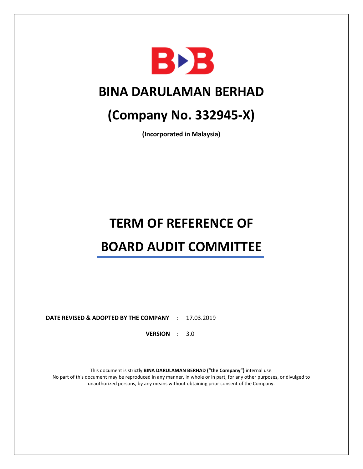

### **BINA DARULAMAN BERHAD**

## **(Company No. 332945-X)**

**(Incorporated in Malaysia)**

# **TERM OF REFERENCE OF BOARD AUDIT COMMITTEE**

**DATE REVISED & ADOPTED BY THE COMPANY** : 17.03.2019

**VERSION** : 3.0

This document is strictly **BINA DARULAMAN BERHAD ("the Company")** internal use. No part of this document may be reproduced in any manner, in whole or in part, for any other purposes, or divulged to unauthorized persons, by any means without obtaining prior consent of the Company.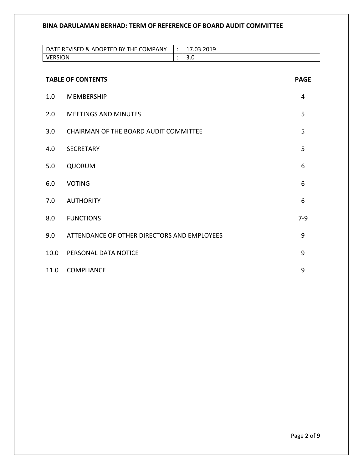|                | DATE REVISED & ADOPTED BY THE COMPANY       | $\ddot{\cdot}$ | 17.03.2019 |             |
|----------------|---------------------------------------------|----------------|------------|-------------|
| <b>VERSION</b> |                                             | $\ddot{\cdot}$ | 3.0        |             |
|                |                                             |                |            |             |
|                | <b>TABLE OF CONTENTS</b>                    |                |            | <b>PAGE</b> |
| 1.0            | <b>MEMBERSHIP</b>                           |                |            | 4           |
| 2.0            | <b>MEETINGS AND MINUTES</b>                 |                |            | 5           |
| 3.0            | CHAIRMAN OF THE BOARD AUDIT COMMITTEE       |                |            | 5           |
| 4.0            | <b>SECRETARY</b>                            |                |            | 5           |
| 5.0            | QUORUM                                      |                |            | 6           |
| 6.0            | <b>VOTING</b>                               |                |            | 6           |
| 7.0            | <b>AUTHORITY</b>                            |                |            | 6           |
| 8.0            | <b>FUNCTIONS</b>                            |                |            | $7-9$       |
| 9.0            | ATTENDANCE OF OTHER DIRECTORS AND EMPLOYEES |                |            | 9           |
| 10.0           | PERSONAL DATA NOTICE                        |                |            | 9           |
| 11.0           | <b>COMPLIANCE</b>                           |                |            | 9           |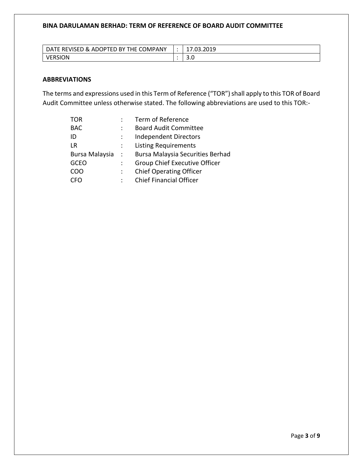| TE REVISED & ADOPTED BY THE COMPANY<br><b>DATE</b> | 7010<br>17.03.ZUI5 |
|----------------------------------------------------|--------------------|
| ERSION                                             | J.v                |

#### **ABBREVIATIONS**

The terms and expressions used in this Term of Reference ("TOR") shall apply to this TOR of Board Audit Committee unless otherwise stated. The following abbreviations are used to this TOR:-

| <b>TOR</b>     |                  | Term of Reference                       |
|----------------|------------------|-----------------------------------------|
| <b>BAC</b>     |                  | <b>Board Audit Committee</b>            |
| ID             |                  | <b>Independent Directors</b>            |
| LR             | ÷                | <b>Listing Requirements</b>             |
| Bursa Malaysia | $\sim$ 10 $\sim$ | <b>Bursa Malaysia Securities Berhad</b> |
| <b>GCEO</b>    |                  | <b>Group Chief Executive Officer</b>    |
| COO            |                  | <b>Chief Operating Officer</b>          |
|                |                  | <b>Chief Financial Officer</b>          |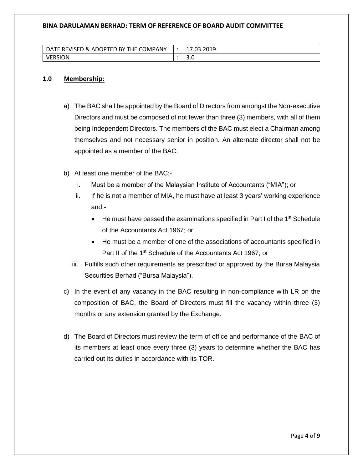| TED BY THE COMPANY!<br>: REVISED & ADOPT<br>DA <sup>7</sup> | .03.2019 |
|-------------------------------------------------------------|----------|
| ION                                                         | J.v      |

#### **1.0 Membership:**

- a) The BAC shall be appointed by the Board of Directors from amongst the Non-executive Directors and must be composed of not fewer than three (3) members, with all of them being Independent Directors. The members of the BAC must elect a Chairman among themselves and not necessary senior in position. An alternate director shall not be appointed as a member of the BAC.
- b) At least one member of the BAC:
	- i. Must be a member of the Malaysian Institute of Accountants ("MIA"); or
	- ii. If he is not a member of MIA, he must have at least 3 years' working experience and:-
		- He must have passed the examinations specified in Part I of the  $1<sup>st</sup>$  Schedule of the Accountants Act 1967; or
		- He must be a member of one of the associations of accountants specified in Part II of the 1<sup>st</sup> Schedule of the Accountants Act 1967; or
	- iii. Fulfills such other requirements as prescribed or approved by the Bursa Malaysia Securities Berhad ("Bursa Malaysia").
- c) In the event of any vacancy in the BAC resulting in non-compliance with LR on the composition of BAC, the Board of Directors must fill the vacancy within three (3) months or any extension granted by the Exchange.
- d) The Board of Directors must review the term of office and performance of the BAC of its members at least once every three (3) years to determine whether the BAC has carried out its duties in accordance with its TOR.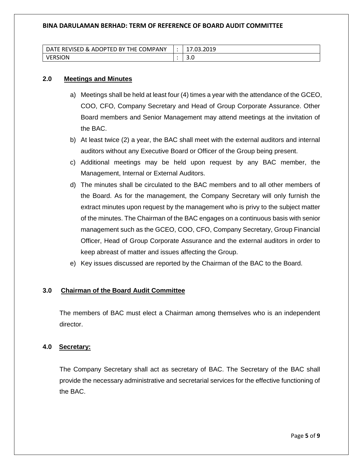| <b>REVISED</b><br>TED BY THE COMPANY<br><b>DAT</b><br>8 ADOP | 7010<br>17.UJ.ZUIJ |
|--------------------------------------------------------------|--------------------|
| `RSION                                                       | J.v                |

#### **2.0 Meetings and Minutes**

- a) Meetings shall be held at least four (4) times a year with the attendance of the GCEO, COO, CFO, Company Secretary and Head of Group Corporate Assurance. Other Board members and Senior Management may attend meetings at the invitation of the BAC.
- b) At least twice (2) a year, the BAC shall meet with the external auditors and internal auditors without any Executive Board or Officer of the Group being present.
- c) Additional meetings may be held upon request by any BAC member, the Management, Internal or External Auditors.
- d) The minutes shall be circulated to the BAC members and to all other members of the Board. As for the management, the Company Secretary will only furnish the extract minutes upon request by the management who is privy to the subject matter of the minutes. The Chairman of the BAC engages on a continuous basis with senior management such as the GCEO, COO, CFO, Company Secretary, Group Financial Officer, Head of Group Corporate Assurance and the external auditors in order to keep abreast of matter and issues affecting the Group.
- e) Key issues discussed are reported by the Chairman of the BAC to the Board.

#### **3.0 Chairman of the Board Audit Committee**

The members of BAC must elect a Chairman among themselves who is an independent director.

#### **4.0 Secretary:**

The Company Secretary shall act as secretary of BAC. The Secretary of the BAC shall provide the necessary administrative and secretarial services for the effective functioning of the BAC.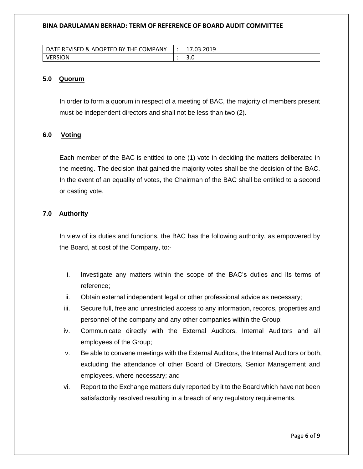| TE REVISED & ADOPTED BY THE COMPANY<br><b>DATE</b> | 7010<br>17.03.ZUI5 |
|----------------------------------------------------|--------------------|
| ERSION                                             | J.v                |

#### **5.0 Quorum**

In order to form a quorum in respect of a meeting of BAC, the majority of members present must be independent directors and shall not be less than two (2).

#### **6.0 Voting**

Each member of the BAC is entitled to one (1) vote in deciding the matters deliberated in the meeting. The decision that gained the majority votes shall be the decision of the BAC. In the event of an equality of votes, the Chairman of the BAC shall be entitled to a second or casting vote.

#### **7.0 Authority**

In view of its duties and functions, the BAC has the following authority, as empowered by the Board, at cost of the Company, to:-

- i. Investigate any matters within the scope of the BAC's duties and its terms of reference;
- ii. Obtain external independent legal or other professional advice as necessary;
- iii. Secure full, free and unrestricted access to any information, records, properties and personnel of the company and any other companies within the Group;
- iv. Communicate directly with the External Auditors, Internal Auditors and all employees of the Group;
- v. Be able to convene meetings with the External Auditors, the Internal Auditors or both, excluding the attendance of other Board of Directors, Senior Management and employees, where necessary; and
- vi. Report to the Exchange matters duly reported by it to the Board which have not been satisfactorily resolved resulting in a breach of any regulatory requirements.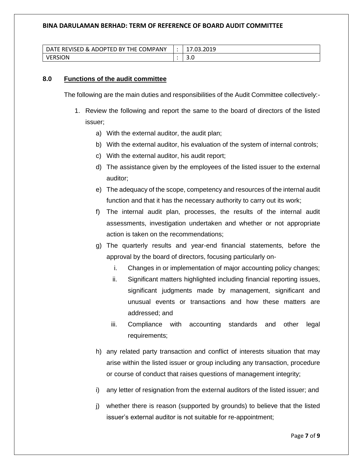| TE REVISED & ADOPTED BY THE COMPANY<br><b>DATE</b> | 17.03.2019 |
|----------------------------------------------------|------------|
| <b>ERSION</b>                                      | J.v        |

#### **8.0 Functions of the audit committee**

The following are the main duties and responsibilities of the Audit Committee collectively:-

- 1. Review the following and report the same to the board of directors of the listed issuer;
	- a) With the external auditor, the audit plan;
	- b) With the external auditor, his evaluation of the system of internal controls;
	- c) With the external auditor, his audit report;
	- d) The assistance given by the employees of the listed issuer to the external auditor;
	- e) The adequacy of the scope, competency and resources of the internal audit function and that it has the necessary authority to carry out its work;
	- f) The internal audit plan, processes, the results of the internal audit assessments, investigation undertaken and whether or not appropriate action is taken on the recommendations;
	- g) The quarterly results and year-end financial statements, before the approval by the board of directors, focusing particularly on
		- i. Changes in or implementation of major accounting policy changes;
		- ii. Significant matters highlighted including financial reporting issues, significant judgments made by management, significant and unusual events or transactions and how these matters are addressed; and
		- iii. Compliance with accounting standards and other legal requirements;
	- h) any related party transaction and conflict of interests situation that may arise within the listed issuer or group including any transaction, procedure or course of conduct that raises questions of management integrity;
	- i) any letter of resignation from the external auditors of the listed issuer; and
	- j) whether there is reason (supported by grounds) to believe that the listed issuer's external auditor is not suitable for re-appointment;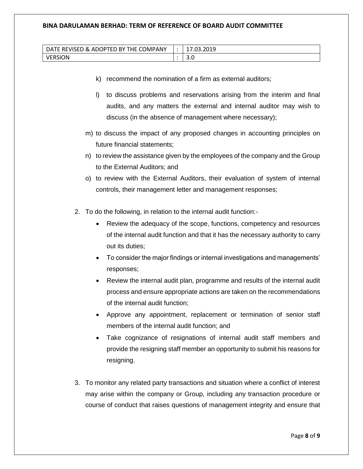| <b>REVISED &amp; ADOPTED BY THE COMPANY</b><br>DA | ാറ10<br>wu.zuij |
|---------------------------------------------------|-----------------|
| `ION                                              | J.u             |

- k) recommend the nomination of a firm as external auditors;
- l) to discuss problems and reservations arising from the interim and final audits, and any matters the external and internal auditor may wish to discuss (in the absence of management where necessary);
- m) to discuss the impact of any proposed changes in accounting principles on future financial statements;
- n) to review the assistance given by the employees of the company and the Group to the External Auditors; and
- o) to review with the External Auditors, their evaluation of system of internal controls, their management letter and management responses;
- 2. To do the following, in relation to the internal audit function:-
	- Review the adequacy of the scope, functions, competency and resources of the internal audit function and that it has the necessary authority to carry out its duties;
	- To consider the major findings or internal investigations and managements' responses;
	- Review the internal audit plan, programme and results of the internal audit process and ensure appropriate actions are taken on the recommendations of the internal audit function;
	- Approve any appointment, replacement or termination of senior staff members of the internal audit function; and
	- Take cognizance of resignations of internal audit staff members and provide the resigning staff member an opportunity to submit his reasons for resigning.
- 3. To monitor any related party transactions and situation where a conflict of interest may arise within the company or Group, including any transaction procedure or course of conduct that raises questions of management integrity and ensure that